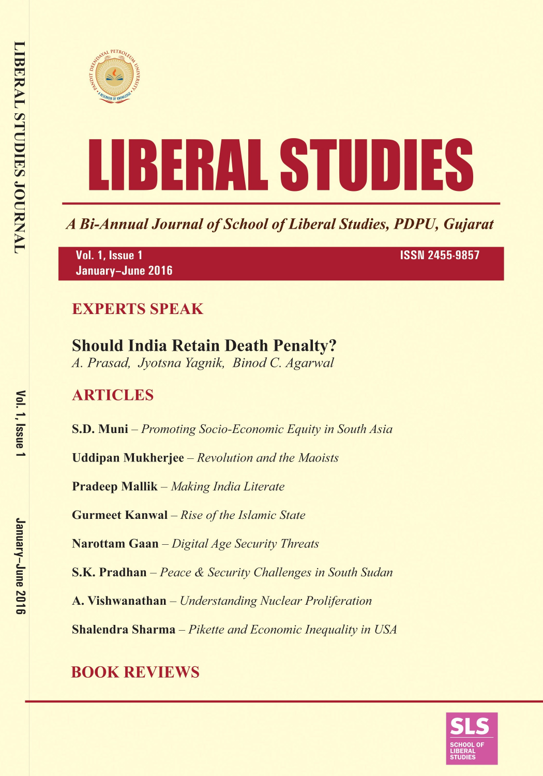



A Bi-Annual Journal of School of Liberal Studies, PDPU, Gujarat

Vol. 1, Issue 1 January-June 2016 **ISSN 2455-9857** 

### **EXPERTS SPEAK**

# **Should India Retain Death Penalty?**

A. Prasad, Jyotsna Yagnik, Binod C. Agarwal

### **ARTICLES**

**S.D. Muni** – Promoting Socio-Economic Equity in South Asia

**Uddipan Mukherjee** – Revolution and the Maoists

**Pradeep Mallik** – Making India Literate

**Gurmeet Kanwal** - Rise of the Islamic State

Narottam Gaan - Digital Age Security Threats

**S.K. Pradhan** – Peace & Security Challenges in South Sudan

A. Vishwanathan - Understanding Nuclear Proliferation

**Shalendra Sharma** - Pikette and Economic Inequality in USA

## **BOOK REVIEWS**

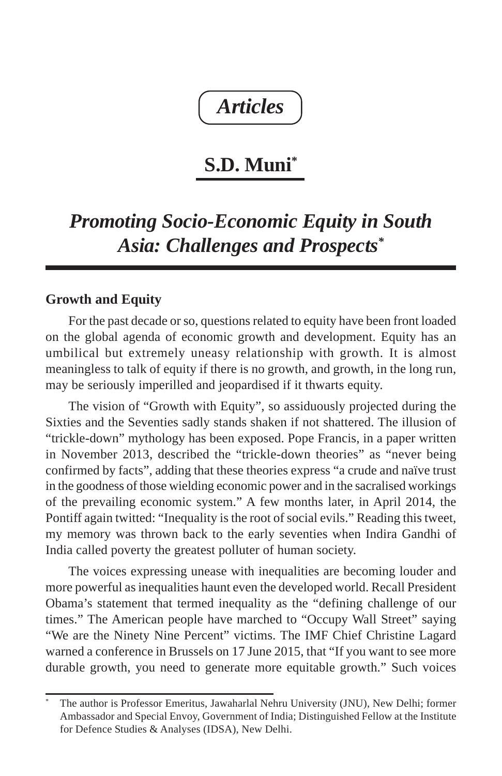## *Articles*

### **S.D. Muni\***

### *Promoting Socio-Economic Equity in South Asia: Challenges and Prospects\**

### **Growth and Equity**

For the past decade or so, questions related to equity have been front loaded on the global agenda of economic growth and development. Equity has an umbilical but extremely uneasy relationship with growth. It is almost meaningless to talk of equity if there is no growth, and growth, in the long run, may be seriously imperilled and jeopardised if it thwarts equity.

The vision of "Growth with Equity", so assiduously projected during the Sixties and the Seventies sadly stands shaken if not shattered. The illusion of "trickle-down" mythology has been exposed. Pope Francis, in a paper written in November 2013, described the "trickle-down theories" as "never being confirmed by facts", adding that these theories express "a crude and naïve trust in the goodness of those wielding economic power and in the sacralised workings of the prevailing economic system." A few months later, in April 2014, the Pontiff again twitted: "Inequality is the root of social evils." Reading this tweet, my memory was thrown back to the early seventies when Indira Gandhi of India called poverty the greatest polluter of human society.

The voices expressing unease with inequalities are becoming louder and more powerful as inequalities haunt even the developed world. Recall President Obama's statement that termed inequality as the "defining challenge of our times." The American people have marched to "Occupy Wall Street" saying "We are the Ninety Nine Percent" victims. The IMF Chief Christine Lagard warned a conference in Brussels on 17 June 2015, that "If you want to see more durable growth, you need to generate more equitable growth." Such voices

<sup>\*</sup> The author is Professor Emeritus, Jawaharlal Nehru University (JNU), New Delhi; former Ambassador and Special Envoy, Government of India; Distinguished Fellow at the Institute for Defence Studies & Analyses (IDSA), New Delhi.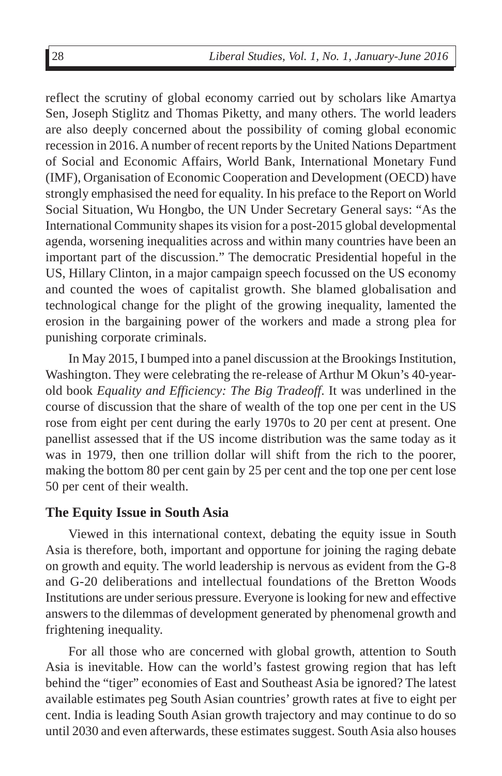reflect the scrutiny of global economy carried out by scholars like Amartya Sen, Joseph Stiglitz and Thomas Piketty, and many others. The world leaders are also deeply concerned about the possibility of coming global economic recession in 2016. A number of recent reports by the United Nations Department of Social and Economic Affairs, World Bank, International Monetary Fund (IMF), Organisation of Economic Cooperation and Development (OECD) have strongly emphasised the need for equality. In his preface to the Report on World Social Situation, Wu Hongbo, the UN Under Secretary General says: "As the International Community shapes its vision for a post-2015 global developmental agenda, worsening inequalities across and within many countries have been an important part of the discussion." The democratic Presidential hopeful in the US, Hillary Clinton, in a major campaign speech focussed on the US economy and counted the woes of capitalist growth. She blamed globalisation and technological change for the plight of the growing inequality, lamented the erosion in the bargaining power of the workers and made a strong plea for punishing corporate criminals.

In May 2015, I bumped into a panel discussion at the Brookings Institution, Washington. They were celebrating the re-release of Arthur M Okun's 40-yearold book *Equality and Efficiency: The Big Tradeoff*. It was underlined in the course of discussion that the share of wealth of the top one per cent in the US rose from eight per cent during the early 1970s to 20 per cent at present. One panellist assessed that if the US income distribution was the same today as it was in 1979, then one trillion dollar will shift from the rich to the poorer, making the bottom 80 per cent gain by 25 per cent and the top one per cent lose 50 per cent of their wealth.

### **The Equity Issue in South Asia**

Viewed in this international context, debating the equity issue in South Asia is therefore, both, important and opportune for joining the raging debate on growth and equity. The world leadership is nervous as evident from the G-8 and G-20 deliberations and intellectual foundations of the Bretton Woods Institutions are under serious pressure. Everyone is looking for new and effective answers to the dilemmas of development generated by phenomenal growth and frightening inequality.

For all those who are concerned with global growth, attention to South Asia is inevitable. How can the world's fastest growing region that has left behind the "tiger" economies of East and Southeast Asia be ignored? The latest available estimates peg South Asian countries' growth rates at five to eight per cent. India is leading South Asian growth trajectory and may continue to do so until 2030 and even afterwards, these estimates suggest. South Asia also houses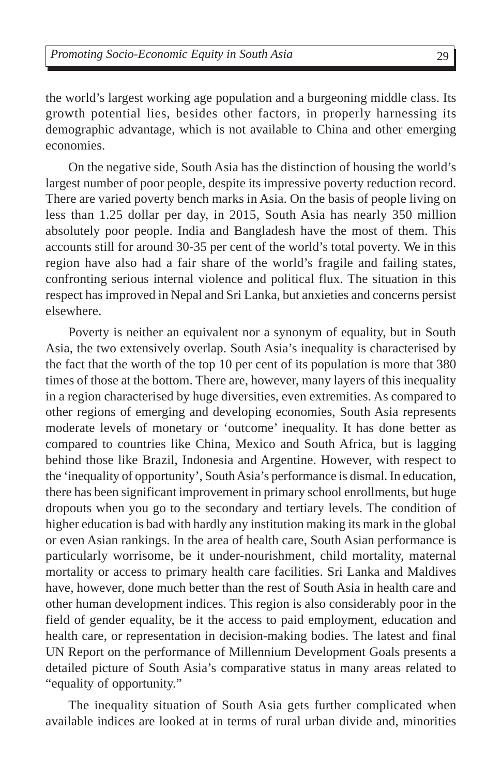the world's largest working age population and a burgeoning middle class. Its growth potential lies, besides other factors, in properly harnessing its demographic advantage, which is not available to China and other emerging economies.

On the negative side, South Asia has the distinction of housing the world's largest number of poor people, despite its impressive poverty reduction record. There are varied poverty bench marks in Asia. On the basis of people living on less than 1.25 dollar per day, in 2015, South Asia has nearly 350 million absolutely poor people. India and Bangladesh have the most of them. This accounts still for around 30-35 per cent of the world's total poverty. We in this region have also had a fair share of the world's fragile and failing states, confronting serious internal violence and political flux. The situation in this respect has improved in Nepal and Sri Lanka, but anxieties and concerns persist elsewhere.

Poverty is neither an equivalent nor a synonym of equality, but in South Asia, the two extensively overlap. South Asia's inequality is characterised by the fact that the worth of the top 10 per cent of its population is more that 380 times of those at the bottom. There are, however, many layers of this inequality in a region characterised by huge diversities, even extremities. As compared to other regions of emerging and developing economies, South Asia represents moderate levels of monetary or 'outcome' inequality. It has done better as compared to countries like China, Mexico and South Africa, but is lagging behind those like Brazil, Indonesia and Argentine. However, with respect to the 'inequality of opportunity', South Asia's performance is dismal. In education, there has been significant improvement in primary school enrollments, but huge dropouts when you go to the secondary and tertiary levels. The condition of higher education is bad with hardly any institution making its mark in the global or even Asian rankings. In the area of health care, South Asian performance is particularly worrisome, be it under-nourishment, child mortality, maternal mortality or access to primary health care facilities. Sri Lanka and Maldives have, however, done much better than the rest of South Asia in health care and other human development indices. This region is also considerably poor in the field of gender equality, be it the access to paid employment, education and health care, or representation in decision-making bodies. The latest and final UN Report on the performance of Millennium Development Goals presents a detailed picture of South Asia's comparative status in many areas related to "equality of opportunity."

The inequality situation of South Asia gets further complicated when available indices are looked at in terms of rural urban divide and, minorities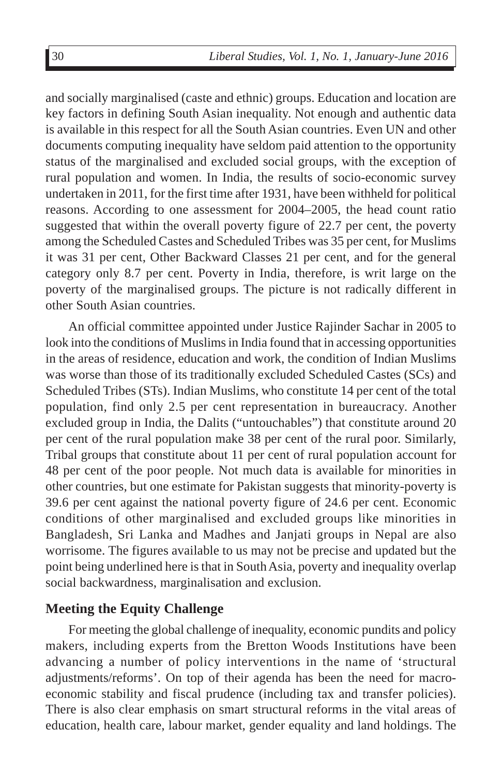and socially marginalised (caste and ethnic) groups. Education and location are key factors in defining South Asian inequality. Not enough and authentic data is available in this respect for all the South Asian countries. Even UN and other documents computing inequality have seldom paid attention to the opportunity status of the marginalised and excluded social groups, with the exception of rural population and women. In India, the results of socio-economic survey undertaken in 2011, for the first time after 1931, have been withheld for political reasons. According to one assessment for 2004–2005, the head count ratio suggested that within the overall poverty figure of 22.7 per cent, the poverty among the Scheduled Castes and Scheduled Tribes was 35 per cent, for Muslims it was 31 per cent, Other Backward Classes 21 per cent, and for the general category only 8.7 per cent. Poverty in India, therefore, is writ large on the poverty of the marginalised groups. The picture is not radically different in other South Asian countries.

An official committee appointed under Justice Rajinder Sachar in 2005 to look into the conditions of Muslims in India found that in accessing opportunities in the areas of residence, education and work, the condition of Indian Muslims was worse than those of its traditionally excluded Scheduled Castes (SCs) and Scheduled Tribes (STs). Indian Muslims, who constitute 14 per cent of the total population, find only 2.5 per cent representation in bureaucracy. Another excluded group in India, the Dalits ("untouchables") that constitute around 20 per cent of the rural population make 38 per cent of the rural poor. Similarly, Tribal groups that constitute about 11 per cent of rural population account for 48 per cent of the poor people. Not much data is available for minorities in other countries, but one estimate for Pakistan suggests that minority-poverty is 39.6 per cent against the national poverty figure of 24.6 per cent. Economic conditions of other marginalised and excluded groups like minorities in Bangladesh, Sri Lanka and Madhes and Janjati groups in Nepal are also worrisome. The figures available to us may not be precise and updated but the point being underlined here is that in South Asia, poverty and inequality overlap social backwardness, marginalisation and exclusion.

### **Meeting the Equity Challenge**

For meeting the global challenge of inequality, economic pundits and policy makers, including experts from the Bretton Woods Institutions have been advancing a number of policy interventions in the name of 'structural adjustments/reforms'. On top of their agenda has been the need for macroeconomic stability and fiscal prudence (including tax and transfer policies). There is also clear emphasis on smart structural reforms in the vital areas of education, health care, labour market, gender equality and land holdings. The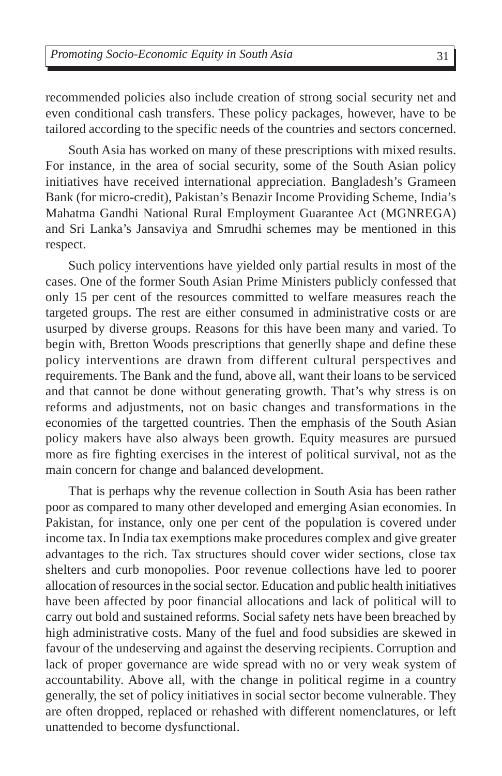recommended policies also include creation of strong social security net and even conditional cash transfers. These policy packages, however, have to be tailored according to the specific needs of the countries and sectors concerned.

South Asia has worked on many of these prescriptions with mixed results. For instance, in the area of social security, some of the South Asian policy initiatives have received international appreciation. Bangladesh's Grameen Bank (for micro-credit), Pakistan's Benazir Income Providing Scheme, India's Mahatma Gandhi National Rural Employment Guarantee Act (MGNREGA) and Sri Lanka's Jansaviya and Smrudhi schemes may be mentioned in this respect.

Such policy interventions have yielded only partial results in most of the cases. One of the former South Asian Prime Ministers publicly confessed that only 15 per cent of the resources committed to welfare measures reach the targeted groups. The rest are either consumed in administrative costs or are usurped by diverse groups. Reasons for this have been many and varied. To begin with, Bretton Woods prescriptions that generlly shape and define these policy interventions are drawn from different cultural perspectives and requirements. The Bank and the fund, above all, want their loans to be serviced and that cannot be done without generating growth. That's why stress is on reforms and adjustments, not on basic changes and transformations in the economies of the targetted countries. Then the emphasis of the South Asian policy makers have also always been growth. Equity measures are pursued more as fire fighting exercises in the interest of political survival, not as the main concern for change and balanced development.

That is perhaps why the revenue collection in South Asia has been rather poor as compared to many other developed and emerging Asian economies. In Pakistan, for instance, only one per cent of the population is covered under income tax. In India tax exemptions make procedures complex and give greater advantages to the rich. Tax structures should cover wider sections, close tax shelters and curb monopolies. Poor revenue collections have led to poorer allocation of resources in the social sector. Education and public health initiatives have been affected by poor financial allocations and lack of political will to carry out bold and sustained reforms. Social safety nets have been breached by high administrative costs. Many of the fuel and food subsidies are skewed in favour of the undeserving and against the deserving recipients. Corruption and lack of proper governance are wide spread with no or very weak system of accountability. Above all, with the change in political regime in a country generally, the set of policy initiatives in social sector become vulnerable. They are often dropped, replaced or rehashed with different nomenclatures, or left unattended to become dysfunctional.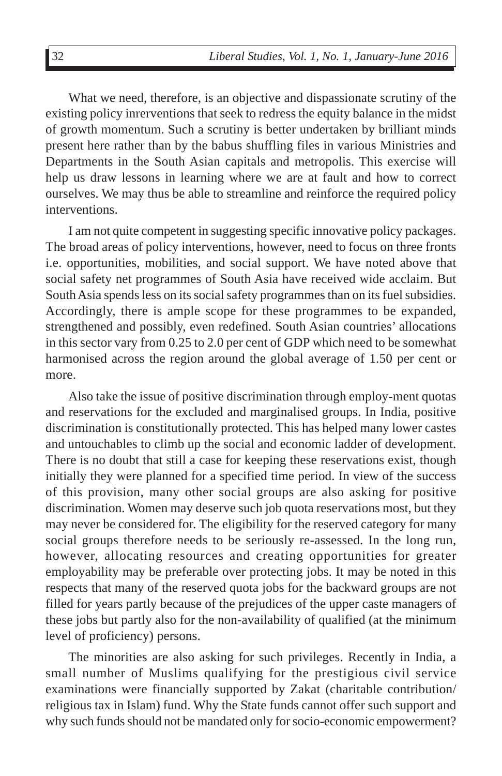What we need, therefore, is an objective and dispassionate scrutiny of the existing policy inrerventions that seek to redress the equity balance in the midst of growth momentum. Such a scrutiny is better undertaken by brilliant minds present here rather than by the babus shuffling files in various Ministries and Departments in the South Asian capitals and metropolis. This exercise will help us draw lessons in learning where we are at fault and how to correct ourselves. We may thus be able to streamline and reinforce the required policy interventions.

I am not quite competent in suggesting specific innovative policy packages. The broad areas of policy interventions, however, need to focus on three fronts i.e. opportunities, mobilities, and social support. We have noted above that social safety net programmes of South Asia have received wide acclaim. But South Asia spends less on its social safety programmes than on its fuel subsidies. Accordingly, there is ample scope for these programmes to be expanded, strengthened and possibly, even redefined. South Asian countries' allocations in this sector vary from 0.25 to 2.0 per cent of GDP which need to be somewhat harmonised across the region around the global average of 1.50 per cent or more.

Also take the issue of positive discrimination through employ-ment quotas and reservations for the excluded and marginalised groups. In India, positive discrimination is constitutionally protected. This has helped many lower castes and untouchables to climb up the social and economic ladder of development. There is no doubt that still a case for keeping these reservations exist, though initially they were planned for a specified time period. In view of the success of this provision, many other social groups are also asking for positive discrimination. Women may deserve such job quota reservations most, but they may never be considered for. The eligibility for the reserved category for many social groups therefore needs to be seriously re-assessed. In the long run, however, allocating resources and creating opportunities for greater employability may be preferable over protecting jobs. It may be noted in this respects that many of the reserved quota jobs for the backward groups are not filled for years partly because of the prejudices of the upper caste managers of these jobs but partly also for the non-availability of qualified (at the minimum level of proficiency) persons.

The minorities are also asking for such privileges. Recently in India, a small number of Muslims qualifying for the prestigious civil service examinations were financially supported by Zakat (charitable contribution/ religious tax in Islam) fund. Why the State funds cannot offer such support and why such funds should not be mandated only for socio-economic empowerment?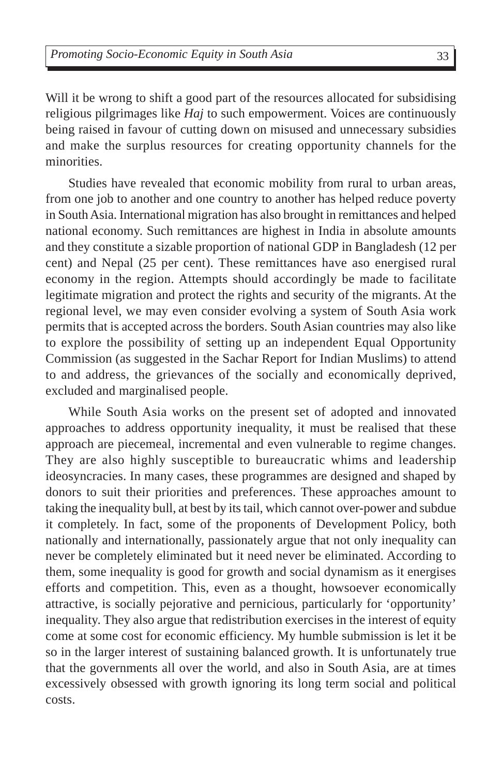Will it be wrong to shift a good part of the resources allocated for subsidising religious pilgrimages like *Haj* to such empowerment. Voices are continuously being raised in favour of cutting down on misused and unnecessary subsidies and make the surplus resources for creating opportunity channels for the minorities.

Studies have revealed that economic mobility from rural to urban areas, from one job to another and one country to another has helped reduce poverty in South Asia. International migration has also brought in remittances and helped national economy. Such remittances are highest in India in absolute amounts and they constitute a sizable proportion of national GDP in Bangladesh (12 per cent) and Nepal (25 per cent). These remittances have aso energised rural economy in the region. Attempts should accordingly be made to facilitate legitimate migration and protect the rights and security of the migrants. At the regional level, we may even consider evolving a system of South Asia work permits that is accepted across the borders. South Asian countries may also like to explore the possibility of setting up an independent Equal Opportunity Commission (as suggested in the Sachar Report for Indian Muslims) to attend to and address, the grievances of the socially and economically deprived, excluded and marginalised people.

While South Asia works on the present set of adopted and innovated approaches to address opportunity inequality, it must be realised that these approach are piecemeal, incremental and even vulnerable to regime changes. They are also highly susceptible to bureaucratic whims and leadership ideosyncracies. In many cases, these programmes are designed and shaped by donors to suit their priorities and preferences. These approaches amount to taking the inequality bull, at best by its tail, which cannot over-power and subdue it completely. In fact, some of the proponents of Development Policy, both nationally and internationally, passionately argue that not only inequality can never be completely eliminated but it need never be eliminated. According to them, some inequality is good for growth and social dynamism as it energises efforts and competition. This, even as a thought, howsoever economically attractive, is socially pejorative and pernicious, particularly for 'opportunity' inequality. They also argue that redistribution exercises in the interest of equity come at some cost for economic efficiency. My humble submission is let it be so in the larger interest of sustaining balanced growth. It is unfortunately true that the governments all over the world, and also in South Asia, are at times excessively obsessed with growth ignoring its long term social and political costs.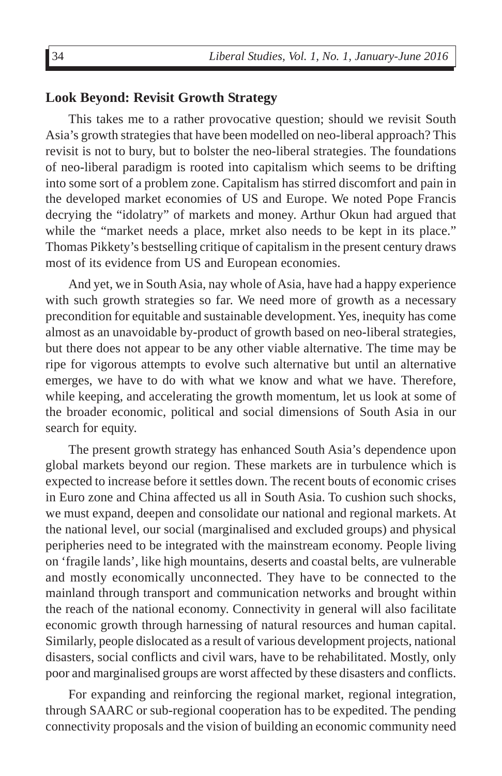#### **Look Beyond: Revisit Growth Strategy**

This takes me to a rather provocative question; should we revisit South Asia's growth strategies that have been modelled on neo-liberal approach? This revisit is not to bury, but to bolster the neo-liberal strategies. The foundations of neo-liberal paradigm is rooted into capitalism which seems to be drifting into some sort of a problem zone. Capitalism has stirred discomfort and pain in the developed market economies of US and Europe. We noted Pope Francis decrying the "idolatry" of markets and money. Arthur Okun had argued that while the "market needs a place, mrket also needs to be kept in its place." Thomas Pikkety's bestselling critique of capitalism in the present century draws most of its evidence from US and European economies.

And yet, we in South Asia, nay whole of Asia, have had a happy experience with such growth strategies so far. We need more of growth as a necessary precondition for equitable and sustainable development. Yes, inequity has come almost as an unavoidable by-product of growth based on neo-liberal strategies, but there does not appear to be any other viable alternative. The time may be ripe for vigorous attempts to evolve such alternative but until an alternative emerges, we have to do with what we know and what we have. Therefore, while keeping, and accelerating the growth momentum, let us look at some of the broader economic, political and social dimensions of South Asia in our search for equity.

The present growth strategy has enhanced South Asia's dependence upon global markets beyond our region. These markets are in turbulence which is expected to increase before it settles down. The recent bouts of economic crises in Euro zone and China affected us all in South Asia. To cushion such shocks, we must expand, deepen and consolidate our national and regional markets. At the national level, our social (marginalised and excluded groups) and physical peripheries need to be integrated with the mainstream economy. People living on 'fragile lands', like high mountains, deserts and coastal belts, are vulnerable and mostly economically unconnected. They have to be connected to the mainland through transport and communication networks and brought within the reach of the national economy. Connectivity in general will also facilitate economic growth through harnessing of natural resources and human capital. Similarly, people dislocated as a result of various development projects, national disasters, social conflicts and civil wars, have to be rehabilitated. Mostly, only poor and marginalised groups are worst affected by these disasters and conflicts.

For expanding and reinforcing the regional market, regional integration, through SAARC or sub-regional cooperation has to be expedited. The pending connectivity proposals and the vision of building an economic community need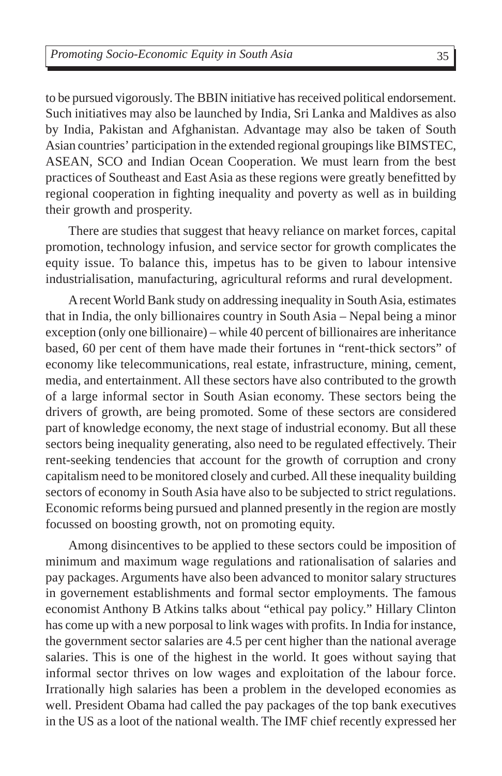to be pursued vigorously. The BBIN initiative has received political endorsement. Such initiatives may also be launched by India, Sri Lanka and Maldives as also by India, Pakistan and Afghanistan. Advantage may also be taken of South Asian countries' participation in the extended regional groupings like BIMSTEC, ASEAN, SCO and Indian Ocean Cooperation. We must learn from the best practices of Southeast and East Asia as these regions were greatly benefitted by regional cooperation in fighting inequality and poverty as well as in building their growth and prosperity.

There are studies that suggest that heavy reliance on market forces, capital promotion, technology infusion, and service sector for growth complicates the equity issue. To balance this, impetus has to be given to labour intensive industrialisation, manufacturing, agricultural reforms and rural development.

A recent World Bank study on addressing inequality in South Asia, estimates that in India, the only billionaires country in South Asia – Nepal being a minor exception (only one billionaire) – while 40 percent of billionaires are inheritance based, 60 per cent of them have made their fortunes in "rent-thick sectors" of economy like telecommunications, real estate, infrastructure, mining, cement, media, and entertainment. All these sectors have also contributed to the growth of a large informal sector in South Asian economy. These sectors being the drivers of growth, are being promoted. Some of these sectors are considered part of knowledge economy, the next stage of industrial economy. But all these sectors being inequality generating, also need to be regulated effectively. Their rent-seeking tendencies that account for the growth of corruption and crony capitalism need to be monitored closely and curbed. All these inequality building sectors of economy in South Asia have also to be subjected to strict regulations. Economic reforms being pursued and planned presently in the region are mostly focussed on boosting growth, not on promoting equity.

Among disincentives to be applied to these sectors could be imposition of minimum and maximum wage regulations and rationalisation of salaries and pay packages. Arguments have also been advanced to monitor salary structures in governement establishments and formal sector employments. The famous economist Anthony B Atkins talks about "ethical pay policy." Hillary Clinton has come up with a new porposal to link wages with profits. In India for instance, the government sector salaries are 4.5 per cent higher than the national average salaries. This is one of the highest in the world. It goes without saying that informal sector thrives on low wages and exploitation of the labour force. Irrationally high salaries has been a problem in the developed economies as well. President Obama had called the pay packages of the top bank executives in the US as a loot of the national wealth. The IMF chief recently expressed her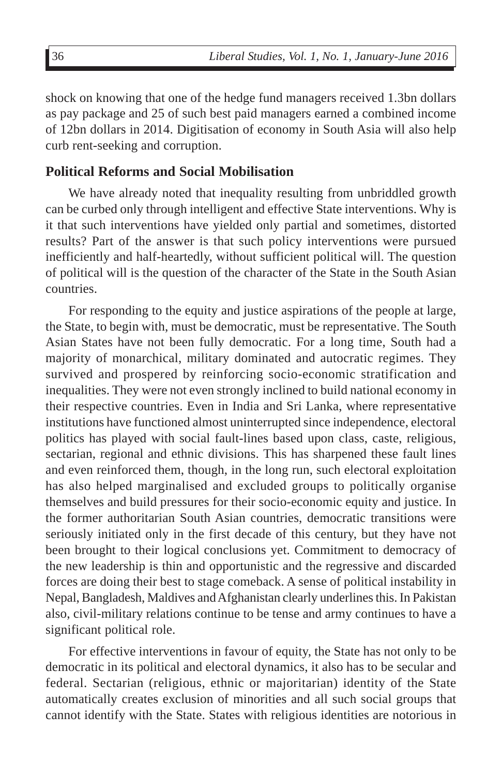shock on knowing that one of the hedge fund managers received 1.3bn dollars as pay package and 25 of such best paid managers earned a combined income of 12bn dollars in 2014. Digitisation of economy in South Asia will also help curb rent-seeking and corruption.

#### **Political Reforms and Social Mobilisation**

We have already noted that inequality resulting from unbriddled growth can be curbed only through intelligent and effective State interventions. Why is it that such interventions have yielded only partial and sometimes, distorted results? Part of the answer is that such policy interventions were pursued inefficiently and half-heartedly, without sufficient political will. The question of political will is the question of the character of the State in the South Asian countries.

For responding to the equity and justice aspirations of the people at large, the State, to begin with, must be democratic, must be representative. The South Asian States have not been fully democratic. For a long time, South had a majority of monarchical, military dominated and autocratic regimes. They survived and prospered by reinforcing socio-economic stratification and inequalities. They were not even strongly inclined to build national economy in their respective countries. Even in India and Sri Lanka, where representative institutions have functioned almost uninterrupted since independence, electoral politics has played with social fault-lines based upon class, caste, religious, sectarian, regional and ethnic divisions. This has sharpened these fault lines and even reinforced them, though, in the long run, such electoral exploitation has also helped marginalised and excluded groups to politically organise themselves and build pressures for their socio-economic equity and justice. In the former authoritarian South Asian countries, democratic transitions were seriously initiated only in the first decade of this century, but they have not been brought to their logical conclusions yet. Commitment to democracy of the new leadership is thin and opportunistic and the regressive and discarded forces are doing their best to stage comeback. A sense of political instability in Nepal, Bangladesh, Maldives and Afghanistan clearly underlines this. In Pakistan also, civil-military relations continue to be tense and army continues to have a significant political role.

For effective interventions in favour of equity, the State has not only to be democratic in its political and electoral dynamics, it also has to be secular and federal. Sectarian (religious, ethnic or majoritarian) identity of the State automatically creates exclusion of minorities and all such social groups that cannot identify with the State. States with religious identities are notorious in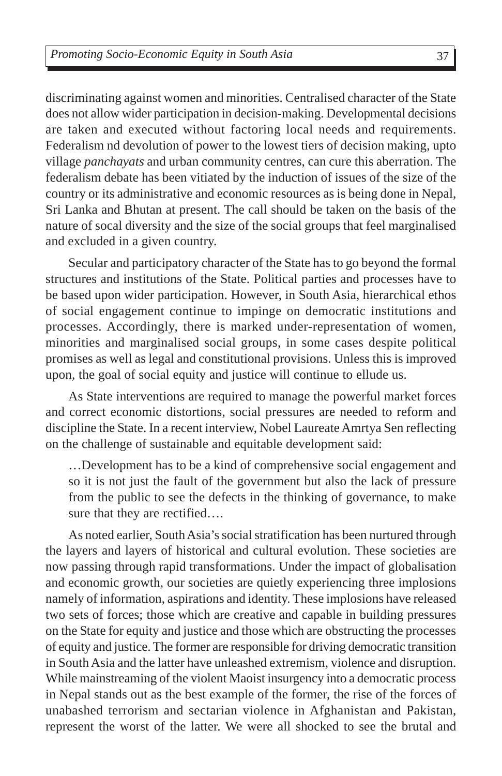discriminating against women and minorities. Centralised character of the State does not allow wider participation in decision-making. Developmental decisions are taken and executed without factoring local needs and requirements. Federalism nd devolution of power to the lowest tiers of decision making, upto village *panchayats* and urban community centres, can cure this aberration. The federalism debate has been vitiated by the induction of issues of the size of the country or its administrative and economic resources as is being done in Nepal, Sri Lanka and Bhutan at present. The call should be taken on the basis of the nature of socal diversity and the size of the social groups that feel marginalised and excluded in a given country.

Secular and participatory character of the State has to go beyond the formal structures and institutions of the State. Political parties and processes have to be based upon wider participation. However, in South Asia, hierarchical ethos of social engagement continue to impinge on democratic institutions and processes. Accordingly, there is marked under-representation of women, minorities and marginalised social groups, in some cases despite political promises as well as legal and constitutional provisions. Unless this is improved upon, the goal of social equity and justice will continue to ellude us.

As State interventions are required to manage the powerful market forces and correct economic distortions, social pressures are needed to reform and discipline the State. In a recent interview, Nobel Laureate Amrtya Sen reflecting on the challenge of sustainable and equitable development said:

…Development has to be a kind of comprehensive social engagement and so it is not just the fault of the government but also the lack of pressure from the public to see the defects in the thinking of governance, to make sure that they are rectified….

As noted earlier, South Asia's social stratification has been nurtured through the layers and layers of historical and cultural evolution. These societies are now passing through rapid transformations. Under the impact of globalisation and economic growth, our societies are quietly experiencing three implosions namely of information, aspirations and identity. These implosions have released two sets of forces; those which are creative and capable in building pressures on the State for equity and justice and those which are obstructing the processes of equity and justice. The former are responsible for driving democratic transition in South Asia and the latter have unleashed extremism, violence and disruption. While mainstreaming of the violent Maoist insurgency into a democratic process in Nepal stands out as the best example of the former, the rise of the forces of unabashed terrorism and sectarian violence in Afghanistan and Pakistan, represent the worst of the latter. We were all shocked to see the brutal and